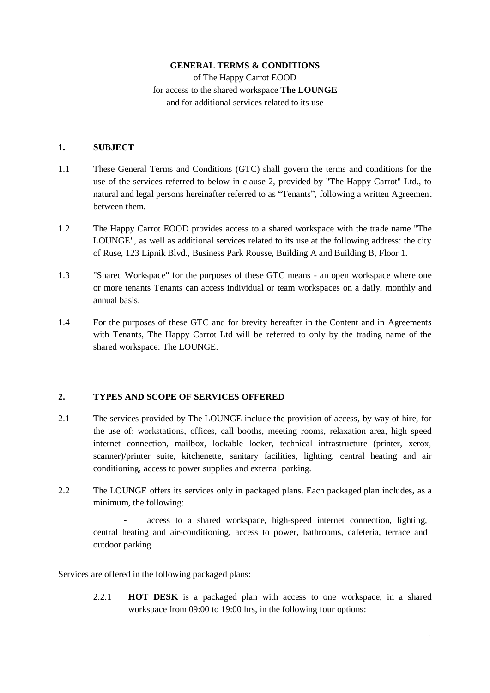## **GENERAL TERMS & CONDITIONS**

of The Happy Carrot EOOD for access to the shared workspace **The LOUNGE** and for additional services related to its use

### **1. SUBJECT**

- 1.1 These General Terms and Conditions (GTC) shall govern the terms and conditions for the use of the services referred to below in clause 2, provided by "The Happy Carrot" Ltd., to natural and legal persons hereinafter referred to as "Tenants", following a written Agreement between them.
- 1.2 The Happy Carrot EOOD provides access to a shared workspace with the trade name "The LOUNGE", as well as additional services related to its use at the following address: the city of Ruse, 123 Lipnik Blvd., Business Park Rousse, Building A and Building B, Floor 1.
- 1.3 "Shared Workspace" for the purposes of these GTC means an open workspace where one or more tenants Tenants can access individual or team workspaces on a daily, monthly and annual basis.
- 1.4 For the purposes of these GTC and for brevity hereafter in the Content and in Agreements with Tenants, The Happy Carrot Ltd will be referred to only by the trading name of the shared workspace: The LOUNGE.

# **2. TYPES AND SCOPE OF SERVICES OFFERED**

- 2.1 The services provided by The LOUNGE include the provision of access, by way of hire, for the use of: workstations, offices, call booths, meeting rooms, relaxation area, high speed internet connection, mailbox, lockable locker, technical infrastructure (printer, xerox, scanner)/printer suite, kitchenette, sanitary facilities, lighting, central heating and air conditioning, access to power supplies and external parking.
- 2.2 The LOUNGE offers its services only in packaged plans. Each packaged plan includes, as a minimum, the following:

access to a shared workspace, high-speed internet connection, lighting, central heating and air-conditioning, access to power, bathrooms, cafeteria, terrace and outdoor parking

Services are offered in the following packaged plans:

2.2.1 **HOT DESK** is a packaged plan with access to one workspace, in a shared workspace from 09:00 to 19:00 hrs, in the following four options: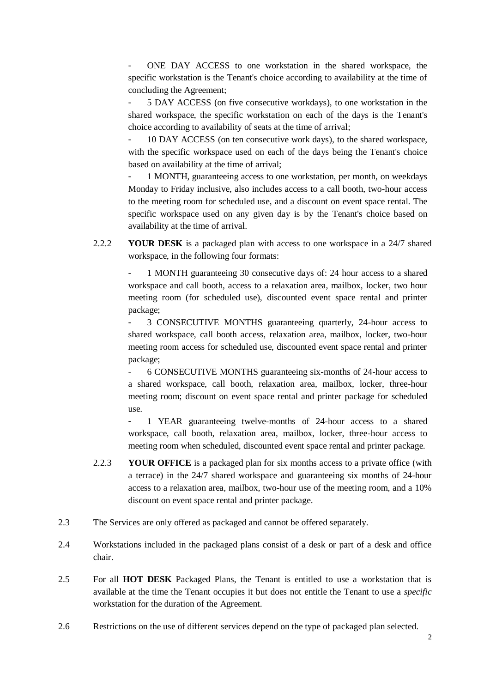ONE DAY ACCESS to one workstation in the shared workspace, the specific workstation is the Tenant's choice according to availability at the time of concluding the Agreement;

- 5 DAY ACCESS (on five consecutive workdays), to one workstation in the shared workspace, the specific workstation on each of the days is the Tenant's choice according to availability of seats at the time of arrival;

- 10 DAY ACCESS (on ten consecutive work days), to the shared workspace, with the specific workspace used on each of the days being the Tenant's choice based on availability at the time of arrival;

1 MONTH, guaranteeing access to one workstation, per month, on weekdays Monday to Friday inclusive, also includes access to a call booth, two-hour access to the meeting room for scheduled use, and a discount on event space rental. The specific workspace used on any given day is by the Tenant's choice based on availability at the time of arrival.

2.2.2 **YOUR DESK** is a packaged plan with access to one workspace in a 24/7 shared workspace, in the following four formats:

> - 1 MONTH guaranteeing 30 consecutive days of: 24 hour access to a shared workspace and call booth, access to a relaxation area, mailbox, locker, two hour meeting room (for scheduled use), discounted event space rental and printer package;

> - 3 CONSECUTIVE MONTHS guaranteeing quarterly, 24-hour access to shared workspace, call booth access, relaxation area, mailbox, locker, two-hour meeting room access for scheduled use, discounted event space rental and printer package;

> - 6 CONSECUTIVE MONTHS guaranteeing six-months of 24-hour access to a shared workspace, call booth, relaxation area, mailbox, locker, three-hour meeting room; discount on event space rental and printer package for scheduled use.

> - 1 YEAR guaranteeing twelve-months of 24-hour access to a shared workspace, call booth, relaxation area, mailbox, locker, three-hour access to meeting room when scheduled, discounted event space rental and printer package.

- 2.2.3 **YOUR OFFICE** is a packaged plan for six months access to a private office (with a terrace) in the 24/7 shared workspace and guaranteeing six months of 24-hour access to a relaxation area, mailbox, two-hour use of the meeting room, and a 10% discount on event space rental and printer package.
- 2.3 The Services are only offered as packaged and cannot be offered separately.
- 2.4 Workstations included in the packaged plans consist of a desk or part of a desk and office chair.
- 2.5 For all **HOT DESK** Packaged Plans, the Tenant is entitled to use a workstation that is available at the time the Tenant occupies it but does not entitle the Tenant to use a *specific*  workstation for the duration of the Agreement.
- 2.6 Restrictions on the use of different services depend on the type of packaged plan selected.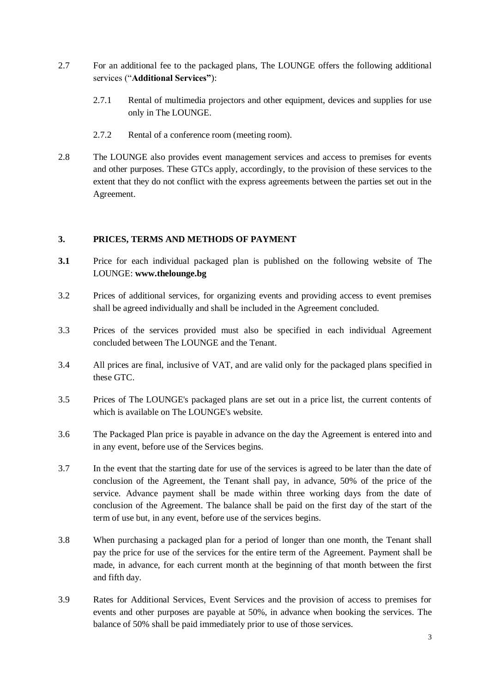- 2.7 For an additional fee to the packaged plans, The LOUNGE offers the following additional services ("**Additional Services"**):
	- 2.7.1 Rental of multimedia projectors and other equipment, devices and supplies for use only in The LOUNGE.
	- 2.7.2 Rental of a conference room (meeting room).
- 2.8 The LOUNGE also provides event management services and access to premises for events and other purposes. These GTCs apply, accordingly, to the provision of these services to the extent that they do not conflict with the express agreements between the parties set out in the Agreement.

## **3. PRICES, TERMS AND METHODS OF PAYMENT**

- **3.1** Price for each individual packaged plan is published on the following website of The LOUNGE: **www.thelounge.bg**
- 3.2 Prices of additional services, for organizing events and providing access to event premises shall be agreed individually and shall be included in the Agreement concluded.
- 3.3 Prices of the services provided must also be specified in each individual Agreement concluded between The LOUNGE and the Tenant.
- 3.4 All prices are final, inclusive of VAT, and are valid only for the packaged plans specified in these GTC.
- 3.5 Prices of The LOUNGE's packaged plans are set out in a price list, the current contents of which is available on The LOUNGE's website.
- 3.6 The Packaged Plan price is payable in advance on the day the Agreement is entered into and in any event, before use of the Services begins.
- 3.7 In the event that the starting date for use of the services is agreed to be later than the date of conclusion of the Agreement, the Tenant shall pay, in advance, 50% of the price of the service. Advance payment shall be made within three working days from the date of conclusion of the Agreement. The balance shall be paid on the first day of the start of the term of use but, in any event, before use of the services begins.
- 3.8 When purchasing a packaged plan for a period of longer than one month, the Tenant shall pay the price for use of the services for the entire term of the Agreement. Payment shall be made, in advance, for each current month at the beginning of that month between the first and fifth day.
- 3.9 Rates for Additional Services, Event Services and the provision of access to premises for events and other purposes are payable at 50%, in advance when booking the services. The balance of 50% shall be paid immediately prior to use of those services.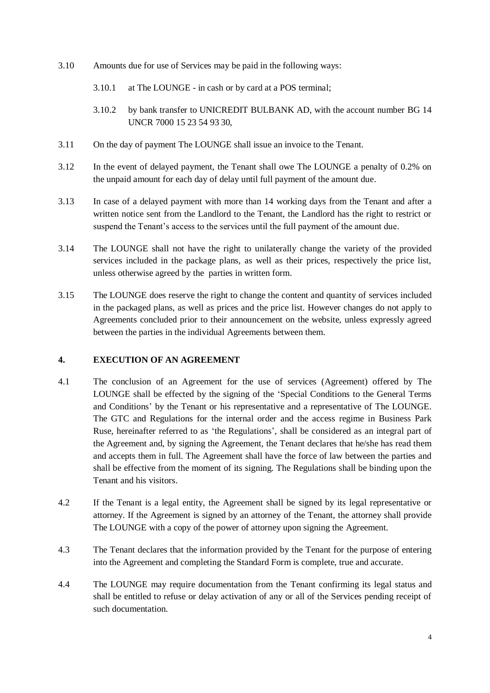- 3.10 Amounts due for use of Services may be paid in the following ways:
	- 3.10.1 at The LOUNGE in cash or by card at a POS terminal;
	- 3.10.2 by bank transfer to UNICREDIT BULBANK AD, with the account number BG 14 UNCR 7000 15 23 54 93 30,
- 3.11 On the day of payment The LOUNGE shall issue an invoice to the Tenant.
- 3.12 In the event of delayed payment, the Tenant shall owe The LOUNGE a penalty of 0.2% on the unpaid amount for each day of delay until full payment of the amount due.
- 3.13 In case of a delayed payment with more than 14 working days from the Tenant and after a written notice sent from the Landlord to the Tenant, the Landlord has the right to restrict or suspend the Tenant's access to the services until the full payment of the amount due.
- 3.14 The LOUNGE shall not have the right to unilaterally change the variety of the provided services included in the package plans, as well as their prices, respectively the price list, unless otherwise agreed by the parties in written form.
- 3.15 The LOUNGE does reserve the right to change the content and quantity of services included in the packaged plans, as well as prices and the price list. However changes do not apply to Agreements concluded prior to their announcement on the website, unless expressly agreed between the parties in the individual Agreements between them.

# **4. EXECUTION OF AN AGREEMENT**

- 4.1 The conclusion of an Agreement for the use of services (Agreement) offered by The LOUNGE shall be effected by the signing of the 'Special Conditions to the General Terms and Conditions' by the Tenant or his representative and a representative of The LOUNGE. The GTC and Regulations for the internal order and the access regime in Business Park Ruse, hereinafter referred to as 'the Regulations', shall be considered as an integral part of the Agreement and, by signing the Agreement, the Tenant declares that he/she has read them and accepts them in full. The Agreement shall have the force of law between the parties and shall be effective from the moment of its signing. The Regulations shall be binding upon the Tenant and his visitors.
- 4.2 If the Tenant is a legal entity, the Agreement shall be signed by its legal representative or attorney. If the Agreement is signed by an attorney of the Tenant, the attorney shall provide The LOUNGE with a copy of the power of attorney upon signing the Agreement.
- 4.3 The Tenant declares that the information provided by the Tenant for the purpose of entering into the Agreement and completing the Standard Form is complete, true and accurate.
- 4.4 The LOUNGE may require documentation from the Tenant confirming its legal status and shall be entitled to refuse or delay activation of any or all of the Services pending receipt of such documentation.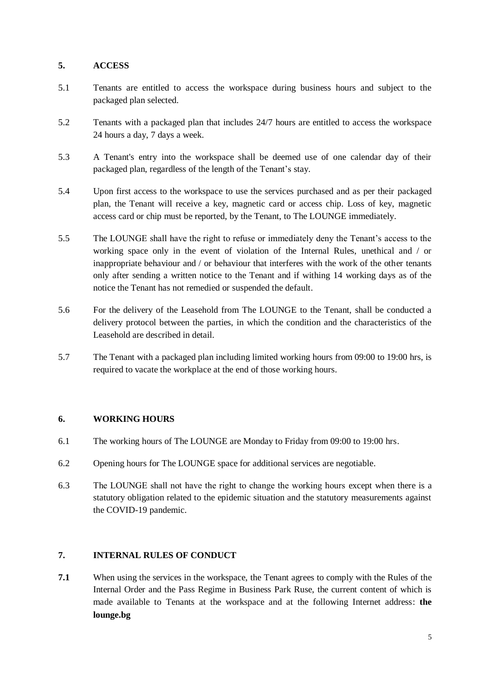# **5. ACCESS**

- 5.1 Tenants are entitled to access the workspace during business hours and subject to the packaged plan selected.
- 5.2 Tenants with a packaged plan that includes 24/7 hours are entitled to access the workspace 24 hours a day, 7 days a week.
- 5.3 A Tenant's entry into the workspace shall be deemed use of one calendar day of their packaged plan, regardless of the length of the Tenant's stay.
- 5.4 Upon first access to the workspace to use the services purchased and as per their packaged plan, the Tenant will receive a key, magnetic card or access chip. Loss of key, magnetic access card or chip must be reported, by the Tenant, to The LOUNGE immediately.
- 5.5 The LOUNGE shall have the right to refuse or immediately deny the Tenant's access to the working space only in the event of violation of the Internal Rules, unethical and / or inappropriate behaviour and / or behaviour that interferes with the work of the other tenants only after sending a written notice to the Tenant and if withing 14 working days as of the notice the Tenant has not remedied or suspended the default.
- 5.6 For the delivery of the Leasehold from The LOUNGE to the Tenant, shall be conducted a delivery protocol between the parties, in which the condition and the characteristics of the Leasehold are described in detail.
- 5.7 The Tenant with a packaged plan including limited working hours from 09:00 to 19:00 hrs, is required to vacate the workplace at the end of those working hours.

# **6. WORKING HOURS**

- 6.1 The working hours of The LOUNGE are Monday to Friday from 09:00 to 19:00 hrs.
- 6.2 Opening hours for The LOUNGE space for additional services are negotiable.
- 6.3 Тhe LOUNGE shall not have the right to change the working hours except when there is a statutory obligation related to the epidemic situation and the statutory measurements against the COVID-19 pandemic.

# **7. INTERNAL RULES OF CONDUCT**

**7.1** When using the services in the workspace, the Tenant agrees to comply with the Rules of the Internal Order and the Pass Regime in Business Park Ruse, the current content of which is made available to Tenants at the workspace and at the following Internet address: **the lounge.bg**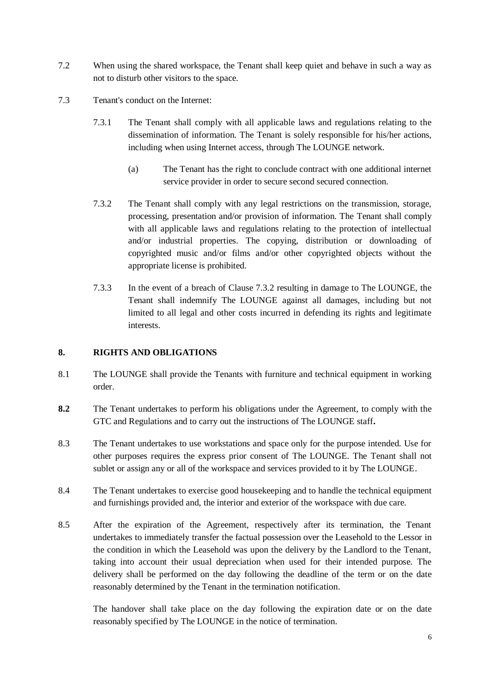- 7.2 When using the shared workspace, the Tenant shall keep quiet and behave in such a way as not to disturb other visitors to the space.
- 7.3 Tenant's conduct on the Internet:
	- 7.3.1 The Tenant shall comply with all applicable laws and regulations relating to the dissemination of information. The Tenant is solely responsible for his/her actions, including when using Internet access, through The LOUNGE network.
		- (a) The Tenant has the right to conclude contract with one additional internet service provider in order to secure second secured connection.
	- 7.3.2 The Tenant shall comply with any legal restrictions on the transmission, storage, processing, presentation and/or provision of information. The Tenant shall comply with all applicable laws and regulations relating to the protection of intellectual and/or industrial properties. The copying, distribution or downloading of copyrighted music and/or films and/or other copyrighted objects without the appropriate license is prohibited.
	- 7.3.3 In the event of a breach of Clause 7.3.2 resulting in damage to The LOUNGE, the Tenant shall indemnify The LOUNGE against all damages, including but not limited to all legal and other costs incurred in defending its rights and legitimate interests.

# **8. RIGHTS AND OBLIGATIONS**

- 8.1 The LOUNGE shall provide the Tenants with furniture and technical equipment in working order.
- **8.2** The Tenant undertakes to perform his obligations under the Agreement, to comply with the GTC and Regulations and to carry out the instructions of The LOUNGE staff**.**
- 8.3 The Tenant undertakes to use workstations and space only for the purpose intended. Use for other purposes requires the express prior consent of The LOUNGE. The Tenant shall not sublet or assign any or all of the workspace and services provided to it by The LOUNGE.
- 8.4 The Tenant undertakes to exercise good housekeeping and to handle the technical equipment and furnishings provided and, the interior and exterior of the workspace with due care.
- 8.5 After the expiration of the Agreement, respectively after its termination, the Tenant undertakes to immediately transfer the factual possession over the Leasehold to the Lessor in the condition in which the Leasehold was upon the delivery by the Landlord to the Tenant, taking into account their usual depreciation when used for their intended purpose. The delivery shall be performed on the day following the deadline of the term or on the date reasonably determined by the Tenant in the termination notification.

The handover shall take place on the day following the expiration date or on the date reasonably specified by The LOUNGE in the notice of termination.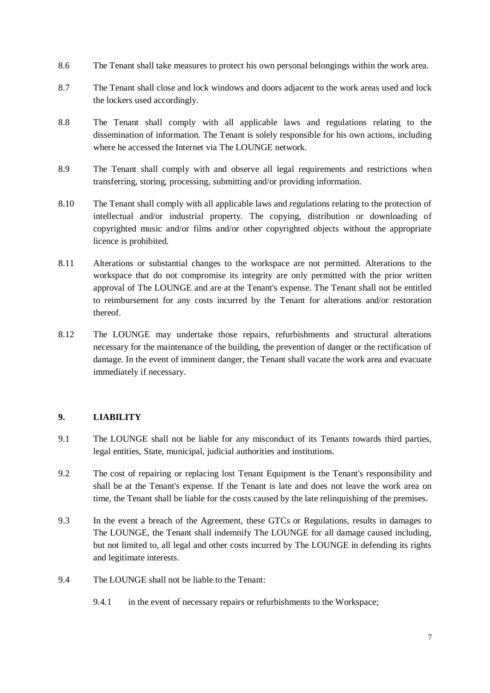- 8.6 The Tenant shall take measures to protect his own personal belongings within the work area.
- 8.7 The Tenant shall close and lock windows and doors adjacent to the work areas used and lock the lockers used accordingly.
- 8.8 The Tenant shall comply with all applicable laws and regulations relating to the dissemination of information. The Tenant is solely responsible for his own actions, including where he accessed the Internet via The LOUNGE network.
- 8.9 The Tenant shall comply with and observe all legal requirements and restrictions when transferring, storing, processing, submitting and/or providing information.
- 8.10 The Tenant shall comply with all applicable laws and regulations relating to the protection of intellectual and/or industrial property. The copying, distribution or downloading of copyrighted music and/or films and/or other copyrighted objects without the appropriate licence is prohibited.
- 8.11 Alterations or substantial changes to the workspace are not permitted. Alterations to the workspace that do not compromise its integrity are only permitted with the prior written approval of The LOUNGE and are at the Tenant's expense. The Tenant shall not be entitled to reimbursement for any costs incurred by the Tenant for alterations and/or restoration thereof.
- 8.12 The LOUNGE may undertake those repairs, refurbishments and structural alterations necessary for the maintenance of the building, the prevention of danger or the rectification of damage. In the event of imminent danger, the Tenant shall vacate the work area and evacuate immediately if necessary.

# **9. LIABILITY**

- 9.1 The LOUNGE shall not be liable for any misconduct of its Tenants towards third parties, legal entities, State, municipal, judicial authorities and institutions.
- 9.2 The cost of repairing or replacing lost Tenant Equipment is the Tenant's responsibility and shall be at the Tenant's expense. If the Tenant is late and does not leave the work area on time, the Tenant shall be liable for the costs caused by the late relinquishing of the premises.
- 9.3 In the event a breach of the Agreement, these GTCs or Regulations, results in damages to The LOUNGE, the Tenant shall indemnify The LOUNGE for all damage caused including, but not limited to, all legal and other costs incurred by The LOUNGE in defending its rights and legitimate interests.
- 9.4 The LOUNGE shall not be liable to the Tenant:
	- 9.4.1 in the event of necessary repairs or refurbishments to the Workspace;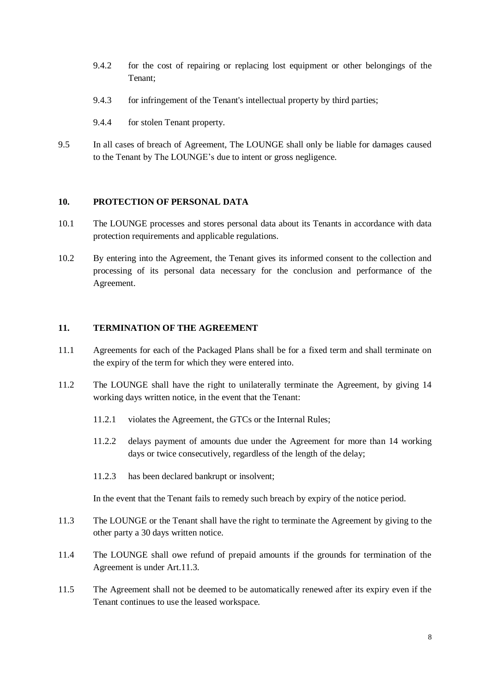- 9.4.2 for the cost of repairing or replacing lost equipment or other belongings of the Tenant;
- 9.4.3 for infringement of the Tenant's intellectual property by third parties;
- 9.4.4 for stolen Tenant property.
- 9.5 In all cases of breach of Agreement, The LOUNGE shall only be liable for damages caused to the Tenant by The LOUNGE's due to intent or gross negligence.

### **10. PROTECTION OF PERSONAL DATA**

- 10.1 The LOUNGE processes and stores personal data about its Tenants in accordance with data protection requirements and applicable regulations.
- 10.2 By entering into the Agreement, the Tenant gives its informed consent to the collection and processing of its personal data necessary for the conclusion and performance of the Agreement.

## **11. TERMINATION OF THE AGREEMENT**

- 11.1 Agreements for each of the Packaged Plans shall be for a fixed term and shall terminate on the expiry of the term for which they were entered into.
- 11.2 The LOUNGE shall have the right to unilaterally terminate the Agreement, by giving 14 working days written notice, in the event that the Tenant:
	- 11.2.1 violates the Agreement, the GTCs or the Internal Rules;
	- 11.2.2 delays payment of amounts due under the Agreement for more than 14 working days or twice consecutively, regardless of the length of the delay;
	- 11.2.3 has been declared bankrupt or insolvent;

In the event that the Tenant fails to remedy such breach by expiry of the notice period.

- 11.3 The LOUNGE or the Tenant shall have the right to terminate the Agreement by giving to the other party a 30 days written notice.
- 11.4 The LOUNGE shall owe refund of prepaid amounts if the grounds for termination of the Agreement is under Art.11.3.
- 11.5 The Agreement shall not be deemed to be automatically renewed after its expiry even if the Tenant continues to use the leased workspace.